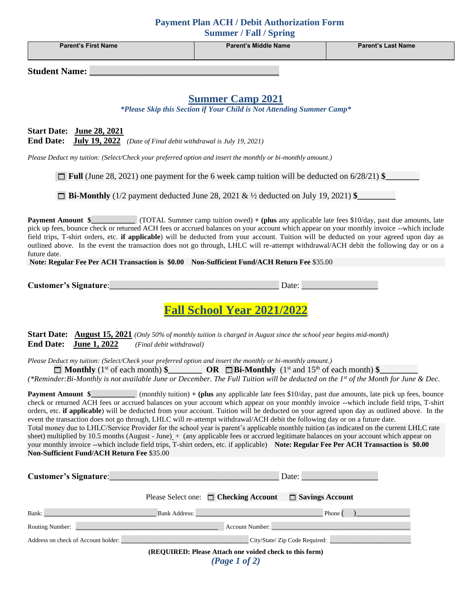| <b>Payment Plan ACH / Debit Authorization Form</b><br><b>Summer / Fall / Spring</b>                                                                                                                                                                                                                                                                                                                                                                                                                                                                                                                                                                                                                                                                                                                                                                                                                                                                                                                                                         |                                                                                                             |                           |  |  |  |
|---------------------------------------------------------------------------------------------------------------------------------------------------------------------------------------------------------------------------------------------------------------------------------------------------------------------------------------------------------------------------------------------------------------------------------------------------------------------------------------------------------------------------------------------------------------------------------------------------------------------------------------------------------------------------------------------------------------------------------------------------------------------------------------------------------------------------------------------------------------------------------------------------------------------------------------------------------------------------------------------------------------------------------------------|-------------------------------------------------------------------------------------------------------------|---------------------------|--|--|--|
| <b>Parent's First Name</b>                                                                                                                                                                                                                                                                                                                                                                                                                                                                                                                                                                                                                                                                                                                                                                                                                                                                                                                                                                                                                  | <b>Parent's Middle Name</b>                                                                                 | <b>Parent's Last Name</b> |  |  |  |
| <b>Student Name:</b>                                                                                                                                                                                                                                                                                                                                                                                                                                                                                                                                                                                                                                                                                                                                                                                                                                                                                                                                                                                                                        |                                                                                                             |                           |  |  |  |
| <b>Summer Camp 2021</b><br>*Please Skip this Section if Your Child is Not Attending Summer Camp*                                                                                                                                                                                                                                                                                                                                                                                                                                                                                                                                                                                                                                                                                                                                                                                                                                                                                                                                            |                                                                                                             |                           |  |  |  |
| Start Date: June 28, 2021<br><b>End Date:</b><br>July 19, 2022 (Date of Final debit withdrawal is July 19, 2021)                                                                                                                                                                                                                                                                                                                                                                                                                                                                                                                                                                                                                                                                                                                                                                                                                                                                                                                            |                                                                                                             |                           |  |  |  |
|                                                                                                                                                                                                                                                                                                                                                                                                                                                                                                                                                                                                                                                                                                                                                                                                                                                                                                                                                                                                                                             | Please Deduct my tuition: (Select/Check your preferred option and insert the monthly or bi-monthly amount.) |                           |  |  |  |
| $\Box$ Full (June 28, 2021) one payment for the 6 week camp tuition will be deducted on 6/28/21) \$                                                                                                                                                                                                                                                                                                                                                                                                                                                                                                                                                                                                                                                                                                                                                                                                                                                                                                                                         |                                                                                                             |                           |  |  |  |
| $\Box$ Bi-Monthly (1/2 payment deducted June 28, 2021 & ½ deducted on July 19, 2021) \$                                                                                                                                                                                                                                                                                                                                                                                                                                                                                                                                                                                                                                                                                                                                                                                                                                                                                                                                                     |                                                                                                             |                           |  |  |  |
| (TOTAL Summer camp tuition owed) + (plus any applicable late fees \$10/day, past due amounts, late<br><b>Payment Amount \$</b><br>pick up fees, bounce check or returned ACH fees or accrued balances on your account which appear on your monthly invoice --which include<br>field trips, T-shirt orders, etc. if applicable) will be deducted from your account. Tuition will be deducted on your agreed upon day as<br>outlined above. In the event the transaction does not go through, LHLC will re-attempt withdrawal/ACH debit the following day or on a<br>future date.<br>Note: Regular Fee Per ACH Transaction is \$0.00 Non-Sufficient Fund/ACH Return Fee \$35.00                                                                                                                                                                                                                                                                                                                                                               |                                                                                                             |                           |  |  |  |
| <b>Customer's Signature:</b>                                                                                                                                                                                                                                                                                                                                                                                                                                                                                                                                                                                                                                                                                                                                                                                                                                                                                                                                                                                                                | Date:                                                                                                       |                           |  |  |  |
|                                                                                                                                                                                                                                                                                                                                                                                                                                                                                                                                                                                                                                                                                                                                                                                                                                                                                                                                                                                                                                             | <b>Fall School Year 2021/2022</b>                                                                           |                           |  |  |  |
| Start Date: August 15, 2021 (Only 50% of monthly tuition is charged in August since the school year begins mid-month)<br><b>End Date:</b><br>June 1, 2022<br>(Final debit withdrawal)                                                                                                                                                                                                                                                                                                                                                                                                                                                                                                                                                                                                                                                                                                                                                                                                                                                       |                                                                                                             |                           |  |  |  |
| Please Deduct my tuition: (Select/Check your preferred option and insert the monthly or bi-monthly amount.)<br>$\Box$ <b>Monthly</b> (1 <sup>st</sup> of each month) $\angle$ <b>OR</b> $\Box$ <b>Bi-Monthly</b> (1 <sup>st</sup> and 15 <sup>th</sup> of each month) $\angle$<br>(*Reminder: Bi-Monthly is not available June or December. The Full Tuition will be deducted on the 1st of the Month for June & Dec.                                                                                                                                                                                                                                                                                                                                                                                                                                                                                                                                                                                                                       |                                                                                                             |                           |  |  |  |
| <b>Payment Amount \$</b> (monthly tuition) + (plus any applicable late fees $$10/day$ , past due amounts, late pick up fees, bounce<br>check or returned ACH fees or accrued balances on your account which appear on your monthly invoice --which include field trips, T-shirt<br>orders, etc. if applicable) will be deducted from your account. Tuition will be deducted on your agreed upon day as outlined above. In the<br>event the transaction does not go through, LHLC will re-attempt withdrawal/ACH debit the following day or on a future date.<br>Total money due to LHLC/Service Provider for the school year is parent's applicable monthly tuition (as indicated on the current LHLC rate<br>sheet) multiplied by 10.5 months (August - June) + (any applicable fees or accrued legitimate balances on your account which appear on<br>your monthly invoice --which include field trips, T-shirt orders, etc. if applicable) Note: Regular Fee Per ACH Transaction is \$0.00<br>Non-Sufficient Fund/ACH Return Fee \$35.00 |                                                                                                             |                           |  |  |  |
| Customer's Signature: Management of the Customer's Signature:                                                                                                                                                                                                                                                                                                                                                                                                                                                                                                                                                                                                                                                                                                                                                                                                                                                                                                                                                                               | Date:                                                                                                       |                           |  |  |  |
| Please Select one: $\Box$ Checking Account<br>Savings Account                                                                                                                                                                                                                                                                                                                                                                                                                                                                                                                                                                                                                                                                                                                                                                                                                                                                                                                                                                               |                                                                                                             |                           |  |  |  |

| Bank:                               | Bank Address:                  | Phone |
|-------------------------------------|--------------------------------|-------|
| <b>Routing Number:</b>              | Account Number:                |       |
| Address on check of Account holder: | City/State/ Zip Code Required: |       |

**(REQUIRED: Please Attach one voided check to this form)**

*(Page 1 of 2)*